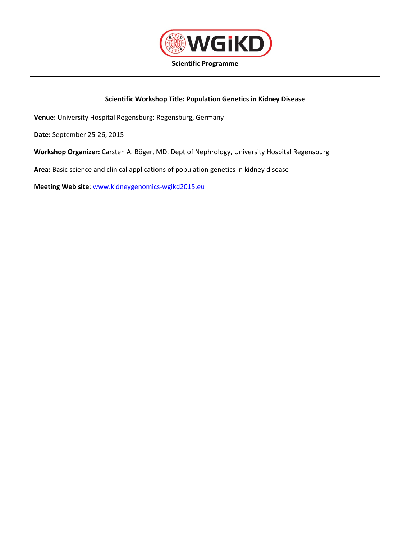

**Scientific Programme**

## **Scientific Workshop Title: Population Genetics in Kidney Disease**

**Venue:** University Hospital Regensburg; Regensburg, Germany

**Date:** September 25-26, 2015

**Workshop Organizer:** Carsten A. Böger, MD. Dept of Nephrology, University Hospital Regensburg

**Area:** Basic science and clinical applications of population genetics in kidney disease

**Meeting Web site**: [www.kidneygenomics-wgikd2015.eu](http://www.kidneygenomics-wgikd2015.eu/)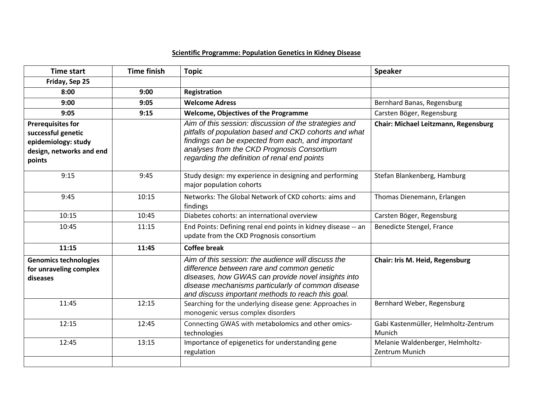## **Scientific Programme: Population Genetics in Kidney Disease**

| <b>Time start</b>                                                                                           | <b>Time finish</b> | <b>Topic</b>                                                                                                                                                                                                                                                      | <b>Speaker</b>                                     |
|-------------------------------------------------------------------------------------------------------------|--------------------|-------------------------------------------------------------------------------------------------------------------------------------------------------------------------------------------------------------------------------------------------------------------|----------------------------------------------------|
| Friday, Sep 25                                                                                              |                    |                                                                                                                                                                                                                                                                   |                                                    |
| 8:00                                                                                                        | 9:00               | <b>Registration</b>                                                                                                                                                                                                                                               |                                                    |
| 9:00                                                                                                        | 9:05               | <b>Welcome Adress</b>                                                                                                                                                                                                                                             | Bernhard Banas, Regensburg                         |
| 9:05                                                                                                        | 9:15               | <b>Welcome, Objectives of the Programme</b>                                                                                                                                                                                                                       | Carsten Böger, Regensburg                          |
| <b>Prerequisites for</b><br>successful genetic<br>epidemiology: study<br>design, networks and end<br>points |                    | Aim of this session: discussion of the strategies and<br>pitfalls of population based and CKD cohorts and what<br>findings can be expected from each, and important<br>analyses from the CKD Prognosis Consortium<br>regarding the definition of renal end points | Chair: Michael Leitzmann, Regensburg               |
| 9:15                                                                                                        | 9:45               | Study design: my experience in designing and performing<br>major population cohorts                                                                                                                                                                               | Stefan Blankenberg, Hamburg                        |
| 9:45                                                                                                        | 10:15              | Networks: The Global Network of CKD cohorts: aims and<br>findings                                                                                                                                                                                                 | Thomas Dienemann, Erlangen                         |
| 10:15                                                                                                       | 10:45              | Diabetes cohorts: an international overview                                                                                                                                                                                                                       | Carsten Böger, Regensburg                          |
| 10:45                                                                                                       | 11:15              | End Points: Defining renal end points in kidney disease -- an<br>update from the CKD Prognosis consortium                                                                                                                                                         | Benedicte Stengel, France                          |
| 11:15                                                                                                       | 11:45              | <b>Coffee break</b>                                                                                                                                                                                                                                               |                                                    |
| <b>Genomics technologies</b><br>for unraveling complex<br>diseases                                          |                    | Aim of this session: the audience will discuss the<br>difference between rare and common genetic<br>diseases, how GWAS can provide novel insights into<br>disease mechanisms particularly of common disease<br>and discuss important methods to reach this goal.  | Chair: Iris M. Heid, Regensburg                    |
| 11:45                                                                                                       | 12:15              | Searching for the underlying disease gene: Approaches in<br>monogenic versus complex disorders                                                                                                                                                                    | Bernhard Weber, Regensburg                         |
| 12:15                                                                                                       | 12:45              | Connecting GWAS with metabolomics and other omics-<br>technologies                                                                                                                                                                                                | Gabi Kastenmüller, Helmholtz-Zentrum<br>Munich     |
| 12:45                                                                                                       | 13:15              | Importance of epigenetics for understanding gene<br>regulation                                                                                                                                                                                                    | Melanie Waldenberger, Helmholtz-<br>Zentrum Munich |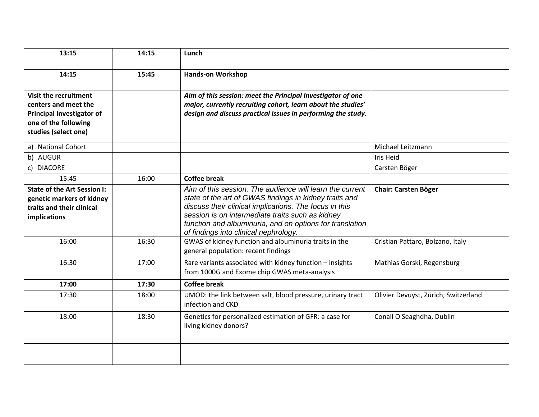| 13:15                                                    | 14:15 | Lunch                                                                                                                        |                                      |
|----------------------------------------------------------|-------|------------------------------------------------------------------------------------------------------------------------------|--------------------------------------|
|                                                          |       |                                                                                                                              |                                      |
| 14:15                                                    | 15:45 | <b>Hands-on Workshop</b>                                                                                                     |                                      |
|                                                          |       |                                                                                                                              |                                      |
| <b>Visit the recruitment</b>                             |       | Aim of this session: meet the Principal Investigator of one                                                                  |                                      |
| centers and meet the                                     |       | major, currently recruiting cohort, learn about the studies'<br>design and discuss practical issues in performing the study. |                                      |
| <b>Principal Investigator of</b><br>one of the following |       |                                                                                                                              |                                      |
| studies (select one)                                     |       |                                                                                                                              |                                      |
| a) National Cohort                                       |       |                                                                                                                              | Michael Leitzmann                    |
| b) AUGUR                                                 |       |                                                                                                                              | Iris Heid                            |
| c) DIACORE                                               |       |                                                                                                                              | Carsten Böger                        |
| 15:45                                                    | 16:00 | <b>Coffee break</b>                                                                                                          |                                      |
| <b>State of the Art Session I:</b>                       |       | Aim of this session: The audience will learn the current                                                                     | <b>Chair: Carsten Böger</b>          |
| genetic markers of kidney                                |       | state of the art of GWAS findings in kidney traits and                                                                       |                                      |
| traits and their clinical                                |       | discuss their clinical implications. The focus in this                                                                       |                                      |
| implications                                             |       | session is on intermediate traits such as kidney                                                                             |                                      |
|                                                          |       | function and albuminuria, and on options for translation<br>of findings into clinical nephrology.                            |                                      |
| 16:00                                                    | 16:30 | GWAS of kidney function and albuminuria traits in the                                                                        | Cristian Pattaro, Bolzano, Italy     |
|                                                          |       | general population: recent findings                                                                                          |                                      |
| 16:30                                                    | 17:00 | Rare variants associated with kidney function - insights                                                                     | Mathias Gorski, Regensburg           |
|                                                          |       | from 1000G and Exome chip GWAS meta-analysis                                                                                 |                                      |
| 17:00                                                    | 17:30 | <b>Coffee break</b>                                                                                                          |                                      |
| 17:30                                                    | 18:00 | UMOD: the link between salt, blood pressure, urinary tract                                                                   | Olivier Devuyst, Zürich, Switzerland |
|                                                          |       | infection and CKD                                                                                                            |                                      |
| 18:00                                                    | 18:30 | Genetics for personalized estimation of GFR: a case for                                                                      | Conall O'Seaghdha, Dublin            |
|                                                          |       | living kidney donors?                                                                                                        |                                      |
|                                                          |       |                                                                                                                              |                                      |
|                                                          |       |                                                                                                                              |                                      |
|                                                          |       |                                                                                                                              |                                      |